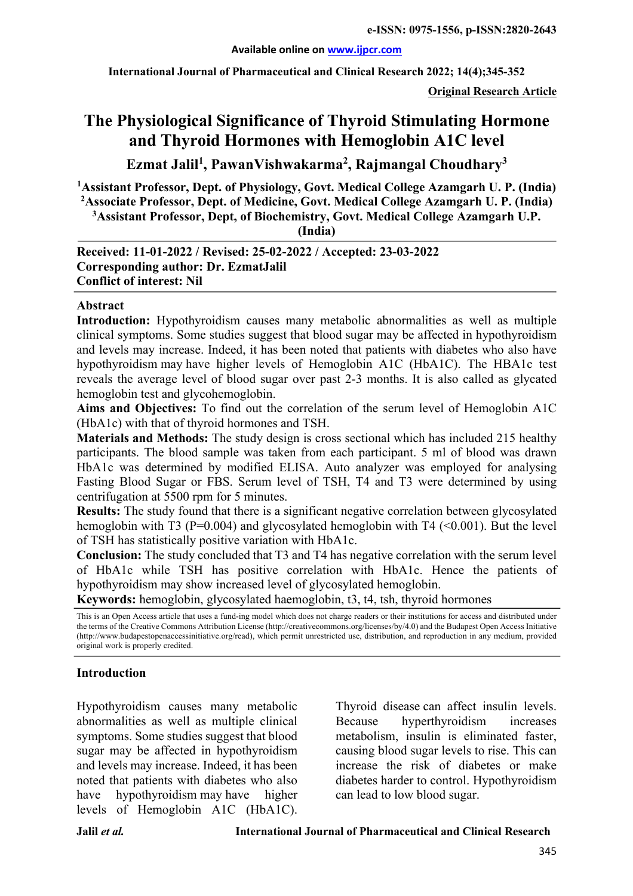#### **Available online on www.ijpcr.com**

**International Journal of Pharmaceutical and Clinical Research 2022; 14(4);345-352**

**Original Research Article**

# **The Physiological Significance of Thyroid Stimulating Hormone and Thyroid Hormones with Hemoglobin A1C level**

**Ezmat Jalil1 , PawanVishwakarma2 , Rajmangal Choudhary3**

**1 Assistant Professor, Dept. of Physiology, Govt. Medical College Azamgarh U. P. (India) 2 Associate Professor, Dept. of Medicine, Govt. Medical College Azamgarh U. P. (India)**

**3 Assistant Professor, Dept, of Biochemistry, Govt. Medical College Azamgarh U.P.**

**(India)**

**Received: 11-01-2022 / Revised: 25-02-2022 / Accepted: 23-03-2022 Corresponding author: Dr. EzmatJalil Conflict of interest: Nil**

#### **Abstract**

**Introduction:** Hypothyroidism causes many metabolic abnormalities as well as multiple clinical symptoms. Some studies suggest that blood sugar may be affected in hypothyroidism and levels may increase. Indeed, it has been noted that patients with diabetes who also have hypothyroidism may have higher levels of Hemoglobin A1C (HbA1C). The HBA1c test reveals the average level of blood sugar over past 2-3 months. It is also called as glycated hemoglobin test and glycohemoglobin.

**Aims and Objectives:** To find out the correlation of the serum level of Hemoglobin A1C (HbA1c) with that of thyroid hormones and TSH.

**Materials and Methods:** The study design is cross sectional which has included 215 healthy participants. The blood sample was taken from each participant. 5 ml of blood was drawn HbA1c was determined by modified ELISA. Auto analyzer was employed for analysing Fasting Blood Sugar or FBS. Serum level of TSH, T4 and T3 were determined by using centrifugation at 5500 rpm for 5 minutes.

**Results:** The study found that there is a significant negative correlation between glycosylated hemoglobin with T3 (P=0.004) and glycosylated hemoglobin with T4  $\leq$ 0.001). But the level of TSH has statistically positive variation with HbA1c.

**Conclusion:** The study concluded that T3 and T4 has negative correlation with the serum level of HbA1c while TSH has positive correlation with HbA1c. Hence the patients of hypothyroidism may show increased level of glycosylated hemoglobin.

**Keywords:** hemoglobin, glycosylated haemoglobin, t3, t4, tsh, thyroid hormones

This is an Open Access article that uses a fund-ing model which does not charge readers or their institutions for access and distributed under the terms of the Creative Commons Attribution License (http://creativecommons.org/licenses/by/4.0) and the Budapest Open Access Initiative (http://www.budapestopenaccessinitiative.org/read), which permit unrestricted use, distribution, and reproduction in any medium, provided original work is properly credited.

#### **Introduction**

Hypothyroidism causes many metabolic abnormalities as well as multiple clinical symptoms. Some studies suggest that blood sugar may be affected in hypothyroidism and levels may increase. Indeed, it has been noted that patients with diabetes who also have hypothyroidism may have higher levels of Hemoglobin A1C (HbA1C).

Thyroid disease can affect insulin levels. Because hyperthyroidism increases metabolism, insulin is eliminated faster, causing blood sugar levels to rise. This can increase the risk of diabetes or make diabetes harder to control. Hypothyroidism can lead to low blood sugar.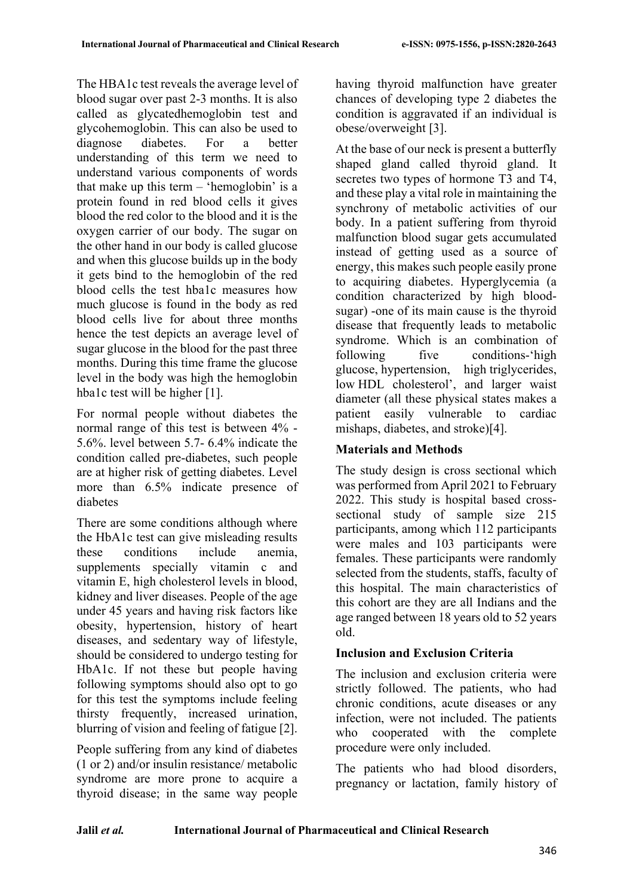The HBA1c test reveals the average level of blood sugar over past 2-3 months. It is also called as glycatedhemoglobin test and glycohemoglobin. This can also be used to diagnose diabetes. For a better understanding of this term we need to understand various components of words that make up this term – 'hemoglobin' is a protein found in red blood cells it gives blood the red color to the blood and it is the oxygen carrier of our body. The sugar on the other hand in our body is called glucose and when this glucose builds up in the body it gets bind to the hemoglobin of the red blood cells the test hba1c measures how much glucose is found in the body as red blood cells live for about three months hence the test depicts an average level of sugar glucose in the blood for the past three months. During this time frame the glucose level in the body was high the hemoglobin hba1c test will be higher [1].

For normal people without diabetes the normal range of this test is between 4% - 5.6%. level between 5.7- 6.4% indicate the condition called pre-diabetes, such people are at higher risk of getting diabetes. Level more than 6.5% indicate presence of diabetes

There are some conditions although where the HbA1c test can give misleading results these conditions include anemia, supplements specially vitamin c and vitamin E, high cholesterol levels in blood, kidney and liver diseases. People of the age under 45 years and having risk factors like obesity, hypertension, history of heart diseases, and sedentary way of lifestyle, should be considered to undergo testing for HbA1c. If not these but people having following symptoms should also opt to go for this test the symptoms include feeling thirsty frequently, increased urination, blurring of vision and feeling of fatigue [2].

People suffering from any kind of diabetes (1 or 2) and/or insulin resistance/ metabolic syndrome are more prone to acquire a thyroid disease; in the same way people having thyroid malfunction have greater chances of developing type 2 diabetes the condition is aggravated if an individual is obese/overweight [3].

At the base of our neck is present a butterfly shaped gland called thyroid gland. It secretes two types of hormone T3 and T4, and these play a vital role in maintaining the synchrony of metabolic activities of our body. In a patient suffering from thyroid malfunction blood sugar gets accumulated instead of getting used as a source of energy, this makes such people easily prone to acquiring diabetes. Hyperglycemia (a condition characterized by high bloodsugar) -one of its main cause is the thyroid disease that frequently leads to metabolic syndrome. Which is an combination of following five conditions-'high glucose, hypertension, high triglycerides, low HDL cholesterol', and larger waist diameter (all these physical states makes a patient easily vulnerable to cardiac mishaps, diabetes, and stroke)[4].

# **Materials and Methods**

The study design is cross sectional which was performed from April 2021 to February 2022. This study is hospital based crosssectional study of sample size 215 participants, among which 112 participants were males and 103 participants were females. These participants were randomly selected from the students, staffs, faculty of this hospital. The main characteristics of this cohort are they are all Indians and the age ranged between 18 years old to 52 years old.

# **Inclusion and Exclusion Criteria**

The inclusion and exclusion criteria were strictly followed. The patients, who had chronic conditions, acute diseases or any infection, were not included. The patients who cooperated with the complete procedure were only included.

The patients who had blood disorders, pregnancy or lactation, family history of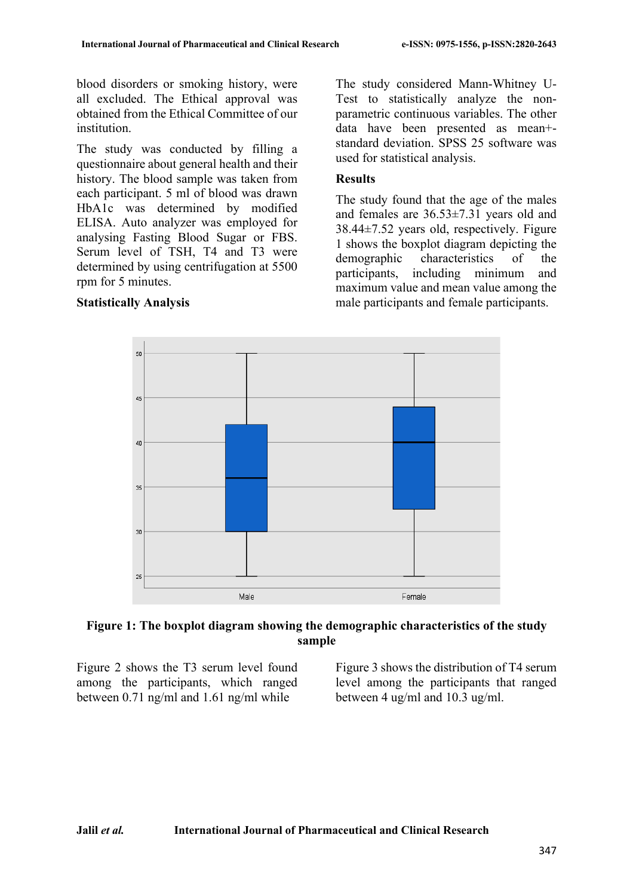blood disorders or smoking history, were all excluded. The Ethical approval was obtained from the Ethical Committee of our institution.

The study was conducted by filling a questionnaire about general health and their history. The blood sample was taken from each participant. 5 ml of blood was drawn HbA1c was determined by modified ELISA. Auto analyzer was employed for analysing Fasting Blood Sugar or FBS. Serum level of TSH, T4 and T3 were determined by using centrifugation at 5500 rpm for 5 minutes.

#### **Statistically Analysis**

The study considered Mann-Whitney U-Test to statistically analyze the nonparametric continuous variables. The other data have been presented as mean+ standard deviation. SPSS 25 software was used for statistical analysis.

#### **Results**

The study found that the age of the males and females are 36.53±7.31 years old and 38.44±7.52 years old, respectively. Figure 1 shows the boxplot diagram depicting the demographic characteristics of the participants, including minimum and maximum value and mean value among the male participants and female participants.



## **Figure 1: The boxplot diagram showing the demographic characteristics of the study sample**

Figure 2 shows the T3 serum level found among the participants, which ranged between 0.71 ng/ml and 1.61 ng/ml while

Figure 3 shows the distribution of T4 serum level among the participants that ranged between 4 ug/ml and 10.3 ug/ml.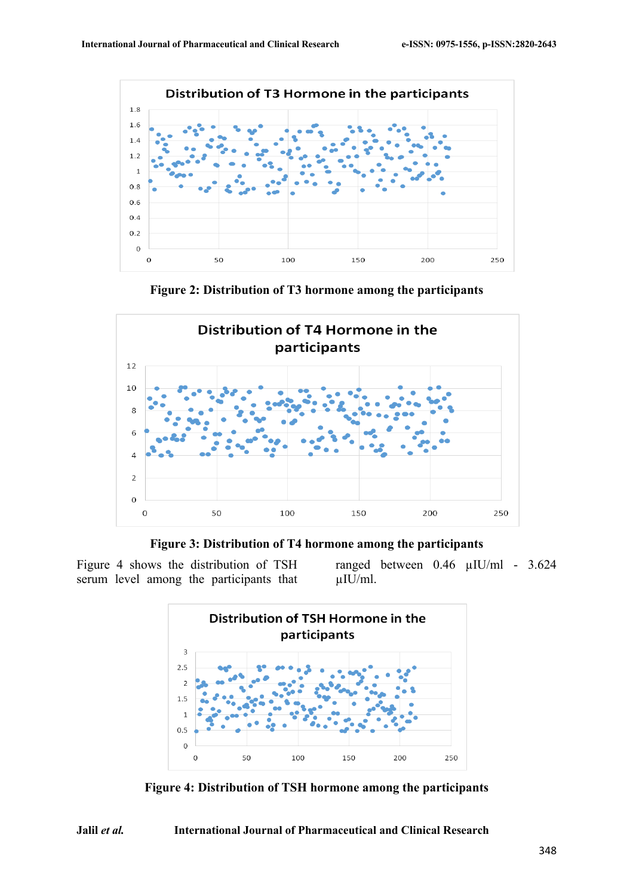

**Figure 2: Distribution of T3 hormone among the participants**



**Figure 3: Distribution of T4 hormone among the participants**

Figure 4 shows the distribution of TSH serum level among the participants that ranged between 0.46 µIU/ml - 3.624 µIU/ml.



**Figure 4: Distribution of TSH hormone among the participants**

**Jalil** *et al.* **International Journal of Pharmaceutical and Clinical Research**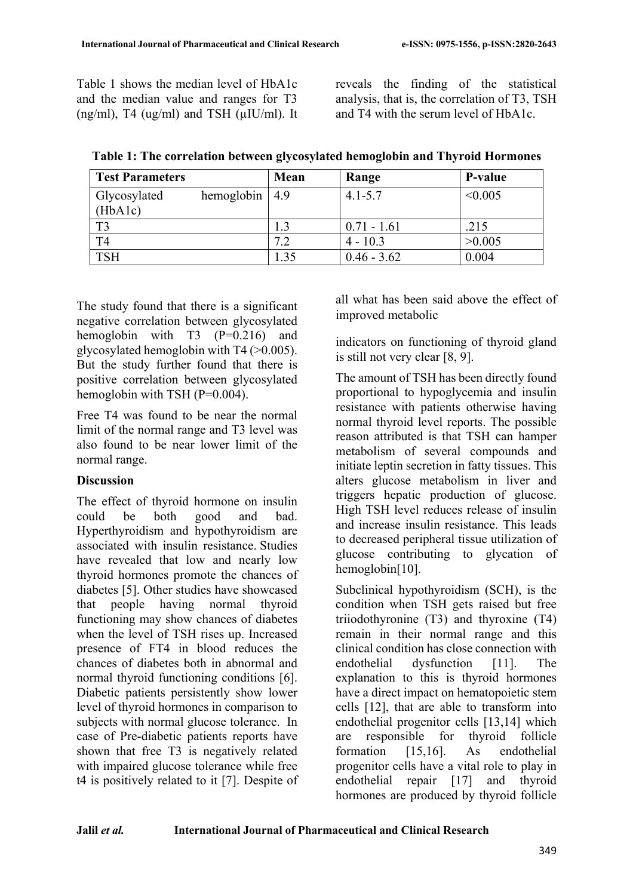Table 1 shows the median level of HbA1c and the median value and ranges for T3  $(ng/ml)$ , T4  $(ug/ml)$  and TSH  $(uIU/ml)$ . It reveals the finding of the statistical analysis, that is, the correlation of T3, TSH and T4 with the serum level of HbA1c.

| <b>Test Parameters</b> |                   | Mean | Range         | P-value |
|------------------------|-------------------|------|---------------|---------|
| Glycosylated           | hemoglobin $ 4.9$ |      | $4.1 - 5.7$   | < 0.005 |
| (HbA1c)                |                   |      |               |         |
| T <sub>3</sub>         |                   |      | $0.71 - 1.61$ | .215    |
| T <sub>4</sub>         |                   | 7.2  | $4 - 10.3$    | >0.005  |
| <b>TSH</b>             |                   | 1.35 | $0.46 - 3.62$ | 0.004   |

**Table 1: The correlation between glycosylated hemoglobin and Thyroid Hormones**

The study found that there is a significant negative correlation between glycosylated hemoglobin with T3 (P=0.216) and glycosylated hemoglobin with T4 (>0.005). But the study further found that there is positive correlation between glycosylated hemoglobin with TSH (P=0.004).

Free T4 was found to be near the normal limit of the normal range and T3 level was also found to be near lower limit of the normal range.

## **Discussion**

The effect of thyroid hormone on insulin could be both good and bad. Hyperthyroidism and hypothyroidism are associated with insulin resistance. Studies have revealed that low and nearly low thyroid hormones promote the chances of diabetes [5]. Other studies have showcased that people having normal thyroid functioning may show chances of diabetes when the level of TSH rises up. Increased presence of FT4 in blood reduces the chances of diabetes both in abnormal and normal thyroid functioning conditions [6]. Diabetic patients persistently show lower level of thyroid hormones in comparison to subjects with normal glucose tolerance. In case of Pre-diabetic patients reports have shown that free T3 is negatively related with impaired glucose tolerance while free t4 is positively related to it [7]. Despite of all what has been said above the effect of improved metabolic

indicators on functioning of thyroid gland is still not very clear [8, 9].

The amount of TSH has been directly found proportional to hypoglycemia and insulin resistance with patients otherwise having normal thyroid level reports. The possible reason attributed is that TSH can hamper metabolism of several compounds and initiate leptin secretion in fatty tissues. This alters glucose metabolism in liver and triggers hepatic production of glucose. High TSH level reduces release of insulin and increase insulin resistance. This leads to decreased peripheral tissue utilization of glucose contributing to glycation of hemoglobin[10].

Subclinical hypothyroidism (SCH), is the condition when TSH gets raised but free triiodothyronine (T3) and thyroxine (T4) remain in their normal range and this clinical condition has close connection with endothelial dysfunction [11]. The explanation to this is thyroid hormones have a direct impact on hematopoietic stem cells [12], that are able to transform into endothelial progenitor cells [13,14] which are responsible for thyroid follicle formation [15,16]. As endothelial progenitor cells have a vital role to play in endothelial repair [17] and thyroid hormones are produced by thyroid follicle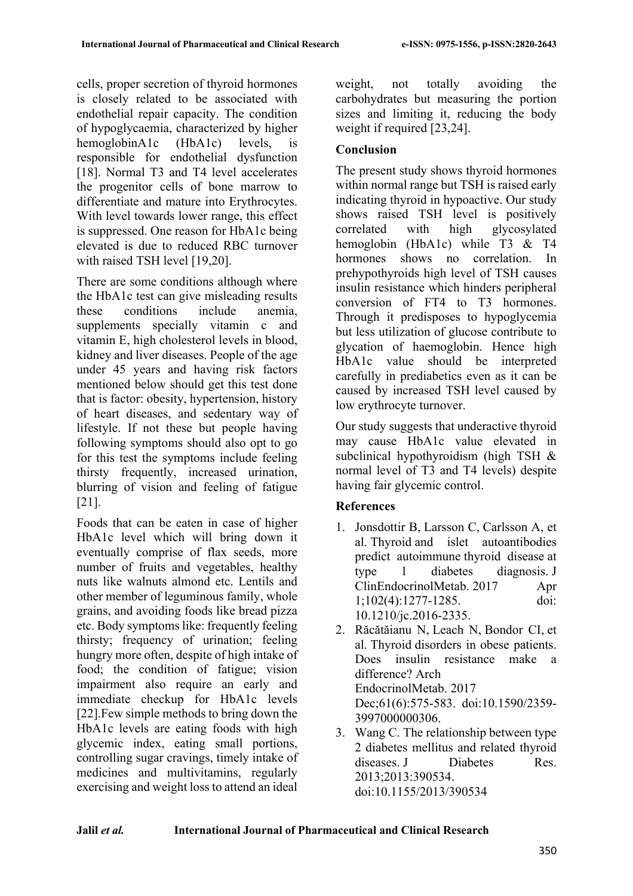cells, proper secretion of thyroid hormones is closely related to be associated with endothelial repair capacity. The condition of hypoglycaemia, characterized by higher hemoglobinA1c (HbA1c) levels, is responsible for endothelial dysfunction [18]. Normal T3 and T4 level accelerates the progenitor cells of bone marrow to differentiate and mature into Erythrocytes. With level towards lower range, this effect is suppressed. One reason for HbA1c being elevated is due to reduced RBC turnover with raised TSH level [19,20].

There are some conditions although where the HbA1c test can give misleading results these conditions include anemia, supplements specially vitamin c and vitamin E, high cholesterol levels in blood, kidney and liver diseases. People of the age under 45 years and having risk factors mentioned below should get this test done that is factor: obesity, hypertension, history of heart diseases, and sedentary way of lifestyle. If not these but people having following symptoms should also opt to go for this test the symptoms include feeling thirsty frequently, increased urination, blurring of vision and feeling of fatigue [21].

Foods that can be eaten in case of higher HbA1c level which will bring down it eventually comprise of flax seeds, more number of fruits and vegetables, healthy nuts like walnuts almond etc. Lentils and other member of leguminous family, whole grains, and avoiding foods like bread pizza etc. Body symptoms like: frequently feeling thirsty; frequency of urination; feeling hungry more often, despite of high intake of food; the condition of fatigue; vision impairment also require an early and immediate checkup for HbA1c levels [22].Few simple methods to bring down the HbA1c levels are eating foods with high glycemic index, eating small portions, controlling sugar cravings, timely intake of medicines and multivitamins, regularly exercising and weight loss to attend an ideal

weight, not totally avoiding the carbohydrates but measuring the portion sizes and limiting it, reducing the body weight if required [23,24].

# **Conclusion**

The present study shows thyroid hormones within normal range but TSH is raised early indicating thyroid in hypoactive. Our study shows raised TSH level is positively correlated with high glycosylated hemoglobin (HbA1c) while T3 & T4 hormones shows no correlation. In prehypothyroids high level of TSH causes insulin resistance which hinders peripheral conversion of FT4 to T3 hormones. Through it predisposes to hypoglycemia but less utilization of glucose contribute to glycation of haemoglobin. Hence high HbA1c value should be interpreted carefully in prediabetics even as it can be caused by increased TSH level caused by low erythrocyte turnover.

Our study suggests that underactive thyroid may cause HbA1c value elevated in subclinical hypothyroidism (high TSH & normal level of T3 and T4 levels) despite having fair glycemic control.

# **References**

- 1. Jonsdottir B, Larsson C, Carlsson A, et al. Thyroid and islet autoantibodies predict autoimmune thyroid disease at type 1 diabetes diagnosis. J ClinEndocrinolMetab. 2017 Apr 1;102(4):1277-1285. doi: 10.1210/jc.2016-2335.
- 2. Răcătăianu N, Leach N, Bondor CI, et al. Thyroid disorders in obese patients. Does insulin resistance make a difference? Arch EndocrinolMetab. 2017 Dec;61(6):575-583. doi:10.1590/2359- 3997000000306.
- 3. Wang C. The relationship between type 2 diabetes mellitus and related thyroid diseases. J Diabetes Res. 2013;2013:390534. doi:10.1155/2013/390534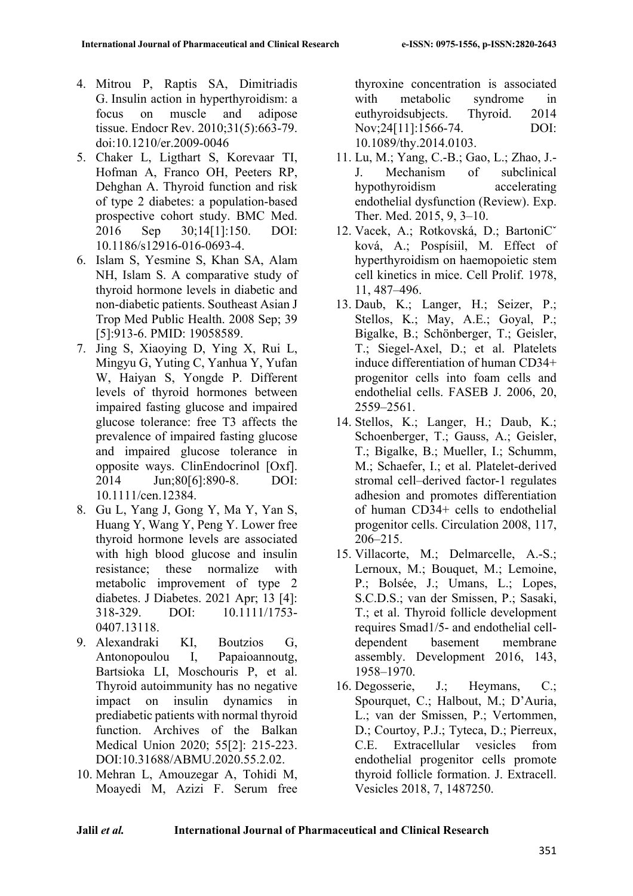- 4. Mitrou P, Raptis SA, Dimitriadis G. Insulin action in hyperthyroidism: a focus on muscle and adipose tissue. Endocr Rev. 2010;31(5):663-79. doi:10.1210/er.2009-0046
- 5. Chaker L, Ligthart S, Korevaar TI, Hofman A, Franco OH, Peeters RP, Dehghan A. Thyroid function and risk of type 2 diabetes: a population-based prospective cohort study. BMC Med. 2016 Sep 30;14[1]:150. DOI: 10.1186/s12916-016-0693-4.
- 6. Islam S, Yesmine S, Khan SA, Alam NH, Islam S. A comparative study of thyroid hormone levels in diabetic and non-diabetic patients. Southeast Asian J Trop Med Public Health. 2008 Sep; 39 [5]:913-6. PMID: 19058589.
- 7. Jing S, Xiaoying D, Ying X, Rui L, Mingyu G, Yuting C, Yanhua Y, Yufan W, Haiyan S, Yongde P. Different levels of thyroid hormones between impaired fasting glucose and impaired glucose tolerance: free T3 affects the prevalence of impaired fasting glucose and impaired glucose tolerance in opposite ways. ClinEndocrinol [Oxf]. 2014 Jun;80[6]:890-8. DOI: 10.1111/cen.12384.
- 8. Gu L, Yang J, Gong Y, Ma Y, Yan S, Huang Y, Wang Y, Peng Y. Lower free thyroid hormone levels are associated with high blood glucose and insulin resistance; these normalize with metabolic improvement of type 2 diabetes. J Diabetes. 2021 Apr; 13 [4]: 318-329. DOI: 10.1111/1753- 0407.13118.
- 9. Alexandraki KI, Boutzios G, Antonopoulou I, Papaioannoutg, Bartsioka LI, Moschouris P, et al. Thyroid autoimmunity has no negative impact on insulin dynamics in prediabetic patients with normal thyroid function. Archives of the Balkan Medical Union 2020; 55[2]: 215-223. DOI:10.31688/ABMU.2020.55.2.02.
- 10. Mehran L, Amouzegar A, Tohidi M, Moayedi M, Azizi F. Serum free

thyroxine concentration is associated with metabolic syndrome in euthyroidsubjects. Thyroid. 2014 Nov;24[11]:1566-74. DOI: 10.1089/thy.2014.0103.

- 11. Lu, M.; Yang, C.-B.; Gao, L.; Zhao, J.- J. Mechanism of subclinical hypothyroidism accelerating endothelial dysfunction (Review). Exp. Ther. Med. 2015, 9, 3–10.
- 12. Vacek, A.; Rotkovská, D.; BartoniCˇ ková, A.; Pospísiil, M. Effect of hyperthyroidism on haemopoietic stem cell kinetics in mice. Cell Prolif. 1978, 11, 487–496.
- 13. Daub, K.; Langer, H.; Seizer, P.; Stellos, K.; May, A.E.; Goval, P.: Bigalke, B.; Schönberger, T.; Geisler, T.; Siegel-Axel, D.; et al. Platelets induce differentiation of human CD34+ progenitor cells into foam cells and endothelial cells. FASEB J. 2006, 20, 2559–2561.
- 14. Stellos, K.; Langer, H.; Daub, K.; Schoenberger, T.; Gauss, A.; Geisler, T.; Bigalke, B.; Mueller, I.; Schumm, M.; Schaefer, I.; et al. Platelet-derived stromal cell–derived factor-1 regulates adhesion and promotes differentiation of human CD34+ cells to endothelial progenitor cells. Circulation 2008, 117, 206–215.
- 15. Villacorte, M.; Delmarcelle, A.-S.; Lernoux, M.; Bouquet, M.; Lemoine, P.; Bolsée, J.; Umans, L.; Lopes, S.C.D.S.; van der Smissen, P.; Sasaki, T.; et al. Thyroid follicle development requires Smad1/5- and endothelial celldependent basement membrane assembly. Development 2016, 143, 1958–1970.
- 16. Degosserie, J.; Heymans, C.; Spourquet, C.; Halbout, M.; D'Auria, L.; van der Smissen, P.; Vertommen, D.; Courtoy, P.J.; Tyteca, D.; Pierreux, C.E. Extracellular vesicles from endothelial progenitor cells promote thyroid follicle formation. J. Extracell. Vesicles 2018, 7, 1487250.